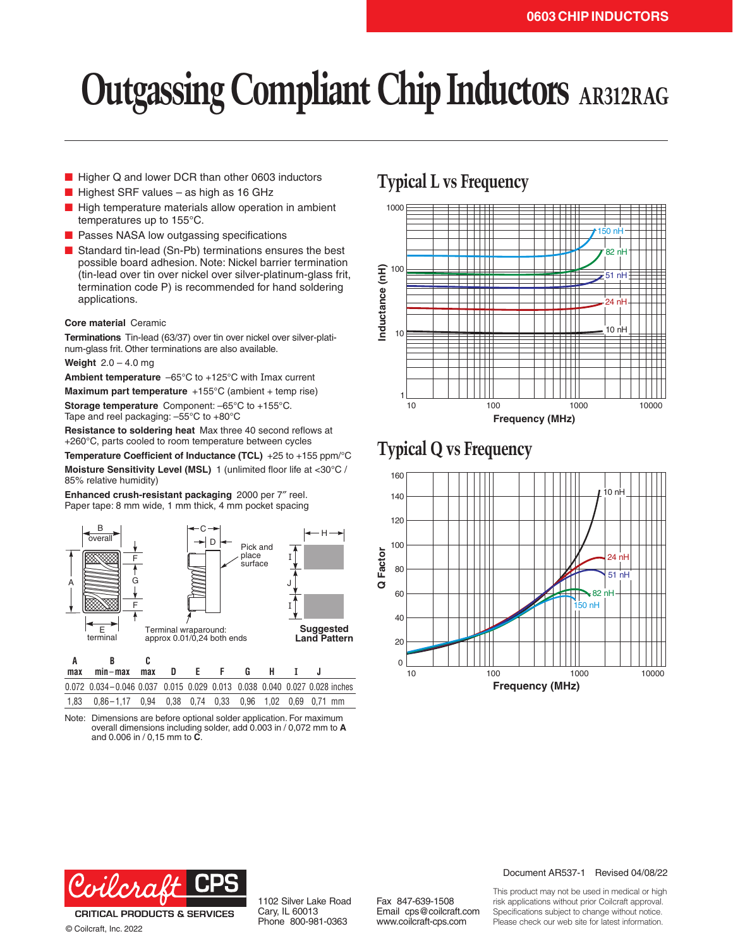# **Outgassing Compliant Chip Inductors AR312RAG**

- Higher Q and lower DCR than other 0603 inductors
- $\blacksquare$  Highest SRF values as high as 16 GHz
- High temperature materials allow operation in ambient temperatures up to 155°C.
- Passes NASA low outgassing specifications
- Standard tin-lead (Sn-Pb) terminations ensures the best possible board adhesion. Note: Nickel barrier termination (tin-lead over tin over nickel over silver-platinum-glass frit, termination code P) is recommended for hand soldering applications.

#### **Core material** Ceramic

**Terminations** Tin-lead (63/37) over tin over nickel over silver-platinum-glass frit. Other terminations are also available.

**Weight** 2.0 – 4.0 mg

**Ambient temperature** –65°C to +125°C with Imax current

**Maximum part temperature** +155°C (ambient + temp rise) **Storage temperature** Component: –65°C to +155°C. Tape and reel packaging: –55°C to +80°C

**Resistance to soldering heat** Max three 40 second reflows at +260°C, parts cooled to room temperature between cycles

**Temperature Coefficient of Inductance (TCL)** +25 to +155 ppm/°C **Moisture Sensitivity Level (MSL)** 1 (unlimited floor life at <30°C / 85% relative humidity)

**Enhanced crush-resistant packaging** 2000 per 7″ reel. Paper tape: 8 mm wide, 1 mm thick, 4 mm pocket spacing



|  | max min-max max D E F G H I                                              |  |  |  |  |  |
|--|--------------------------------------------------------------------------|--|--|--|--|--|
|  | 0.072 0.034-0.046 0.037 0.015 0.029 0.013 0.038 0.040 0.027 0.028 inches |  |  |  |  |  |
|  | 1.83  0.86-1.17  0.94  0.38  0.74  0.33  0.96  1.02  0.69  0.71  mm      |  |  |  |  |  |

Note: Dimensions are before optional solder application. For maximum overall dimensions including solder, add 0.003 in / 0,072 mm to **A** and 0.006 in / 0,15 mm to **C**.

# **Typical L vs Frequency**



# **Typical Q vs Frequency**





**CRITICAL PRODUCTS & SERVICES** © Coilcraft, Inc. 2022

1102 Silver Lake Road Cary, IL 60013 Phone 800-981-0363

Fax 847-639-1508 Email cps@coilcraft.com www.coilcraft-cps.com

#### Document AR537-1 Revised 04/08/22

This product may not be used in medical or high risk applications without prior Coilcraft approval. Specifications subject to change without notice. Please check our web site for latest information.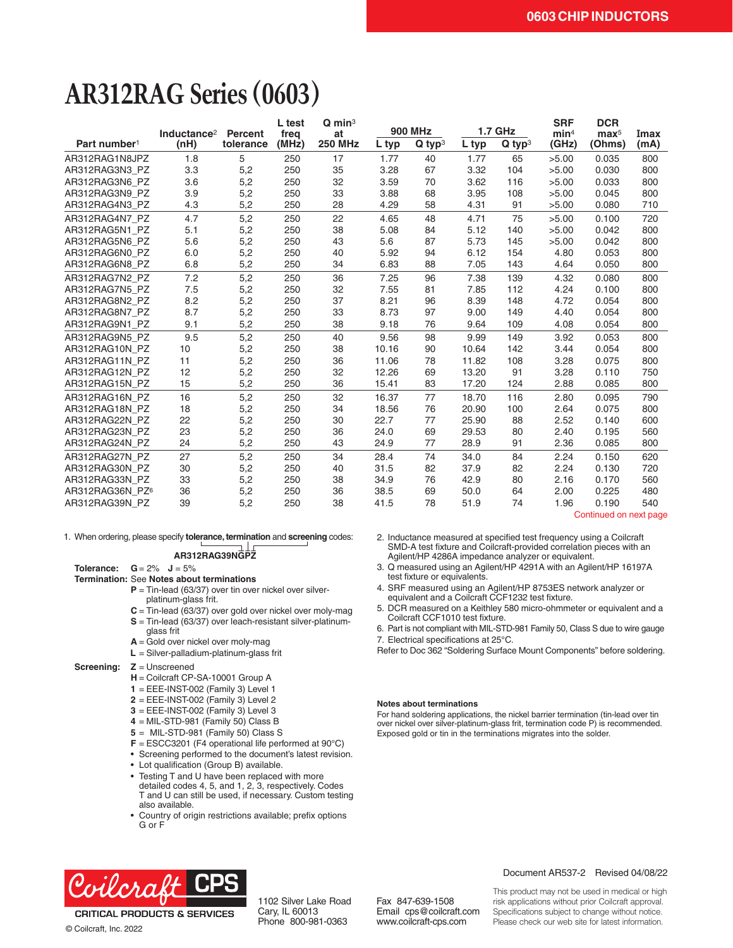# **AR312RAG Series (0603)**

|                          | Inductance <sup>2</sup> | Percent   | L test<br>freq | $Q \text{ min}^3$<br>at | <b>900 MHz</b> |                      | <b>1.7 GHz</b> |                      | <b>SRF</b><br>min <sup>4</sup> | <b>DCR</b><br>$\mathbf{max}^5$ | Imax |
|--------------------------|-------------------------|-----------|----------------|-------------------------|----------------|----------------------|----------------|----------------------|--------------------------------|--------------------------------|------|
| Part number <sup>1</sup> | (nH)                    | tolerance | (MHz)          | <b>250 MHz</b>          | L typ          | $Q$ typ <sup>3</sup> | L typ          | $Q$ typ <sup>3</sup> | (GHz)                          | (Ohms)                         | (mA) |
| AR312RAG1N8JPZ           | 1.8                     | 5         | 250            | 17                      | 1.77           | 40                   | 1.77           | 65                   | >5.00                          | 0.035                          | 800  |
| AR312RAG3N3 PZ           | 3.3                     | 5,2       | 250            | 35                      | 3.28           | 67                   | 3.32           | 104                  | >5.00                          | 0.030                          | 800  |
| AR312RAG3N6 PZ           | 3.6                     | 5,2       | 250            | 32                      | 3.59           | 70                   | 3.62           | 116                  | >5.00                          | 0.033                          | 800  |
| AR312RAG3N9 PZ           | 3.9                     | 5,2       | 250            | 33                      | 3.88           | 68                   | 3.95           | 108                  | >5.00                          | 0.045                          | 800  |
| AR312RAG4N3 PZ           | 4.3                     | 5,2       | 250            | 28                      | 4.29           | 58                   | 4.31           | 91                   | >5.00                          | 0.080                          | 710  |
| AR312RAG4N7 PZ           | 4.7                     | 5,2       | 250            | 22                      | 4.65           | 48                   | 4.71           | 75                   | >5.00                          | 0.100                          | 720  |
| AR312RAG5N1 PZ           | 5.1                     | 5,2       | 250            | 38                      | 5.08           | 84                   | 5.12           | 140                  | >5.00                          | 0.042                          | 800  |
| AR312RAG5N6 PZ           | 5.6                     | 5,2       | 250            | 43                      | 5.6            | 87                   | 5.73           | 145                  | >5.00                          | 0.042                          | 800  |
| AR312RAG6N0 PZ           | 6.0                     | 5,2       | 250            | 40                      | 5.92           | 94                   | 6.12           | 154                  | 4.80                           | 0.053                          | 800  |
| AR312RAG6N8 PZ           | 6.8                     | 5,2       | 250            | 34                      | 6.83           | 88                   | 7.05           | 143                  | 4.64                           | 0.050                          | 800  |
| AR312RAG7N2 PZ           | 7.2                     | 5,2       | 250            | 36                      | 7.25           | 96                   | 7.38           | 139                  | 4.32                           | 0.080                          | 800  |
| AR312RAG7N5 PZ           | 7.5                     | 5,2       | 250            | 32                      | 7.55           | 81                   | 7.85           | 112                  | 4.24                           | 0.100                          | 800  |
| AR312RAG8N2 PZ           | 8.2                     | 5,2       | 250            | 37                      | 8.21           | 96                   | 8.39           | 148                  | 4.72                           | 0.054                          | 800  |
| AR312RAG8N7 PZ           | 8.7                     | 5,2       | 250            | 33                      | 8.73           | 97                   | 9.00           | 149                  | 4.40                           | 0.054                          | 800  |
| AR312RAG9N1 PZ           | 9.1                     | 5,2       | 250            | 38                      | 9.18           | 76                   | 9.64           | 109                  | 4.08                           | 0.054                          | 800  |
| AR312RAG9N5 PZ           | 9.5                     | 5,2       | 250            | 40                      | 9.56           | 98                   | 9.99           | 149                  | 3.92                           | 0.053                          | 800  |
| AR312RAG10N PZ           | 10                      | 5,2       | 250            | 38                      | 10.16          | 90                   | 10.64          | 142                  | 3.44                           | 0.054                          | 800  |
| AR312RAG11N PZ           | 11                      | 5,2       | 250            | 36                      | 11.06          | 78                   | 11.82          | 108                  | 3.28                           | 0.075                          | 800  |
| AR312RAG12N PZ           | 12                      | 5,2       | 250            | 32                      | 12.26          | 69                   | 13.20          | 91                   | 3.28                           | 0.110                          | 750  |
| AR312RAG15N PZ           | 15                      | 5,2       | 250            | 36                      | 15.41          | 83                   | 17.20          | 124                  | 2.88                           | 0.085                          | 800  |
| AR312RAG16N PZ           | 16                      | 5,2       | 250            | 32                      | 16.37          | 77                   | 18.70          | 116                  | 2.80                           | 0.095                          | 790  |
| AR312RAG18N PZ           | 18                      | 5,2       | 250            | 34                      | 18.56          | 76                   | 20.90          | 100                  | 2.64                           | 0.075                          | 800  |
| AR312RAG22N PZ           | 22                      | 5,2       | 250            | 30                      | 22.7           | 77                   | 25.90          | 88                   | 2.52                           | 0.140                          | 600  |
| AR312RAG23N PZ           | 23                      | 5,2       | 250            | 36                      | 24.0           | 69                   | 29.53          | 80                   | 2.40                           | 0.195                          | 560  |
| AR312RAG24N PZ           | 24                      | 5,2       | 250            | 43                      | 24.9           | 77                   | 28.9           | 91                   | 2.36                           | 0.085                          | 800  |
| AR312RAG27N PZ           | 27                      | 5,2       | 250            | 34                      | 28.4           | 74                   | 34.0           | 84                   | 2.24                           | 0.150                          | 620  |
| AR312RAG30N PZ           | 30                      | 5,2       | 250            | 40                      | 31.5           | 82                   | 37.9           | 82                   | 2.24                           | 0.130                          | 720  |
| AR312RAG33N PZ           | 33                      | 5,2       | 250            | 38                      | 34.9           | 76                   | 42.9           | 80                   | 2.16                           | 0.170                          | 560  |
| AR312RAG36N PZ6          | 36                      | 5,2       | 250            | 36                      | 38.5           | 69                   | 50.0           | 64                   | 2.00                           | 0.225                          | 480  |
| AR312RAG39N PZ           | 39                      | 5,2       | 250            | 38                      | 41.5           | 78                   | 51.9           | 74                   | 1.96                           | 0.190                          | 540  |

1. When ordering, please specify **tolerance, termination** and **screening** codes:

## **AR312RAG39NGPZ**

- **Tolerance:**  $G = 2\%$  **J** = 5% **Termination:** See **Notes about terminations**
	- **P** = Tin-lead (63/37) over tin over nickel over silverplatinum-glass frit.
	- **C** = Tin-lead (63/37) over gold over nickel over moly-mag
	- **S** = Tin-lead (63/37) over leach-resistant silver-platinum-
	- glass frit
	- **A** = Gold over nickel over moly-mag
	- **L** = Silver-palladium-platinum-glass frit

#### **Screening: Z** = Unscreened

- **H** = Coilcraft CP-SA-10001 Group A
- **1** = EEE-INST-002 (Family 3) Level 1
- **2** = EEE-INST-002 (Family 3) Level 2
- **3** = EEE-INST-002 (Family 3) Level 3
- **4** = MIL-STD-981 (Family 50) Class B
- 
- **5** = MIL-STD-981 (Family 50) Class S
- **F** = ESCC3201 (F4 operational life performed at 90°C)
- Screening performed to the document's latest revision.
- Lot qualification (Group B) available.
- Testing T and U have been replaced with more detailed codes 4, 5, and 1, 2, 3, respectively. Codes T and U can still be used, if necessary. Custom testing also available.
- Country of origin restrictions available; prefix options G or F



- 3. Q measured using an Agilent/HP 4291A with an Agilent/HP 16197A test fixture or equivalents.
- 4. SRF measured using an Agilent/HP 8753ES network analyzer or equivalent and a Coilcraft CCF1232 test fixture.
- 5. DCR measured on a Keithley 580 micro-ohmmeter or equivalent and a Coilcraft CCF1010 test fixture.
- 6. Part is not compliant with MIL-STD-981 Family 50, Class S due to wire gauge 7. Electrical specifications at 25°C.
- Refer to Doc 362 "Soldering Surface Mount Components" before soldering.

#### **Notes about terminations**

For hand soldering applications, the nickel barrier termination (tin-lead over tin over nickel over silver-platinum-glass frit, termination code P) is recommended. Exposed gold or tin in the terminations migrates into the solder.



© Coilcraft, Inc. 2022

1102 Silver Lake Road Cary, IL 60013 Phone 800-981-0363

Fax 847-639-1508 Email cps@coilcraft.com www.coilcraft-cps.com

#### Document AR537-2 Revised 04/08/22

Continued on next page

This product may not be used in medical or high risk applications without prior Coilcraft approval. Specifications subject to change without notice. Please check our web site for latest information.